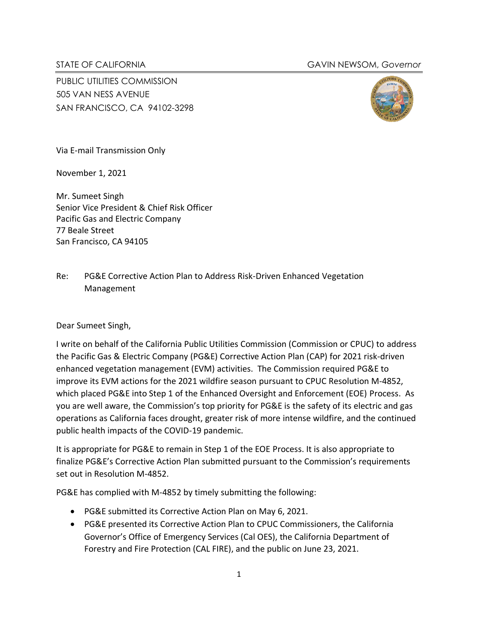## STATE OF CALIFORNIA GAVIN NEWSOM, *Governor*

PUBLIC UTILITIES COMMISSION 505 VAN NESS AVENUE SAN FRANCISCO, CA 94102-3298



Via E-mail Transmission Only

November 1, 2021

Mr. Sumeet Singh Senior Vice President & Chief Risk Officer Pacific Gas and Electric Company 77 Beale Street San Francisco, CA 94105

Re: PG&E Corrective Action Plan to Address Risk-Driven Enhanced Vegetation Management

Dear Sumeet Singh,

I write on behalf of the California Public Utilities Commission (Commission or CPUC) to address the Pacific Gas & Electric Company (PG&E) Corrective Action Plan (CAP) for 2021 risk-driven enhanced vegetation management (EVM) activities. The Commission required PG&E to improve its EVM actions for the 2021 wildfire season pursuant to CPUC Resolution M-4852, which placed PG&E into Step 1 of the Enhanced Oversight and Enforcement (EOE) Process. As you are well aware, the Commission's top priority for PG&E is the safety of its electric and gas operations as California faces drought, greater risk of more intense wildfire, and the continued public health impacts of the COVID-19 pandemic.

It is appropriate for PG&E to remain in Step 1 of the EOE Process. It is also appropriate to finalize PG&E's Corrective Action Plan submitted pursuant to the Commission's requirements set out in Resolution M-4852.

PG&E has complied with M-4852 by timely submitting the following:

- PG&E submitted its Corrective Action Plan on May 6, 2021.
- PG&E presented its Corrective Action Plan to CPUC Commissioners, the California Governor's Office of Emergency Services (Cal OES), the California Department of Forestry and Fire Protection (CAL FIRE), and the public on June 23, 2021.